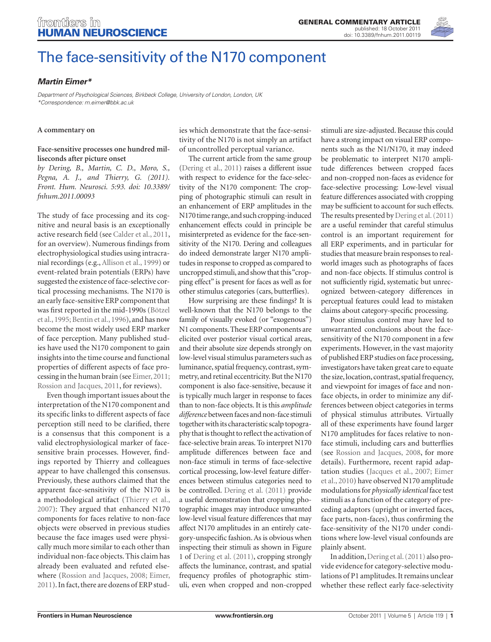

# [The face-sensitivity of the N170 component](http://www.frontiersin.org/human_neuroscience/10.3389/fnhum.2011.00119/abstract)

# *[Martin Eimer\\*](http://www.frontiersin.org/Community/WhosWhoDetails.aspx?UID=1625&sname=martineimer)*

*Department of Psychological Sciences, Birkbeck College, University of London, London, UK \*Correspondence: m.eimer@bbk.ac.uk*

#### **A commentary on**

### **[Face-sensitive processes one hundred mil](http://www.frontiersin.org/human_neuroscience/10.3389/fnhum.2011.00093/abstract)[liseconds after picture onset](http://www.frontiersin.org/human_neuroscience/10.3389/fnhum.2011.00093/abstract)**

*by Dering, B., Martin, C. D., Moro, S., Pegna, A. J., and Thierry, G. (2011). Front. Hum. Neurosci. 5:93. doi: 10.3389/ fnhum.2011.00093*

The study of face processing and its cognitive and neural basis is an exceptionally active research field (see Calder et al., 2011, for an overview). Numerous findings from electrophysiological studies using intracranial recordings (e.g., Allison et al., 1999) or event-related brain potentials (ERPs) have suggested the existence of face-selective cortical processing mechanisms. The N170 is an early face-sensitive ERP component that was first reported in the mid-1990s (Bötzel et al., 1995; Bentin et al., 1996), and has now become the most widely used ERP marker of face perception. Many published studies have used the N170 component to gain insights into the time course and functional properties of different aspects of face processing in the human brain (see Eimer, 2011; Rossion and Jacques, 2011, for reviews).

Even though important issues about the interpretation of the N170 component and its specific links to different aspects of face perception still need to be clarified, there is a consensus that this component is a valid electrophysiological marker of facesensitive brain processes. However, findings reported by Thierry and colleagues appear to have challenged this consensus. Previously, these authors claimed that the apparent face-sensitivity of the N170 is a methodological artifact (Thierry et al., 2007): They argued that enhanced N170 components for faces relative to non-face objects were observed in previous studies because the face images used were physically much more similar to each other than individual non-face objects. This claim has already been evaluated and refuted elsewhere (Rossion and Jacques, 2008; Eimer, 2011). In fact, there are dozens of ERP stud-

ies which demonstrate that the face-sensitivity of the N170 is not simply an artifact of uncontrolled perceptual variance.

The current article from the same group (Dering et al., 2011) raises a different issue with respect to evidence for the face-selectivity of the N170 component: The cropping of photographic stimuli can result in an enhancement of ERP amplitudes in the N170 time range, and such cropping-induced enhancement effects could in principle be misinterpreted as evidence for the face-sensitivity of the N170. Dering and colleagues do indeed demonstrate larger N170 amplitudes in response to cropped as compared to uncropped stimuli, and show that this "cropping effect" is present for faces as well as for other stimulus categories (cars, butterflies).

How surprising are these findings? It is well-known that the N170 belongs to the family of visually evoked (or "exogenous") N1 components. These ERP components are elicited over posterior visual cortical areas, and their absolute size depends strongly on low-level visual stimulus parameters such as luminance, spatial frequency, contrast, symmetry, and retinal eccentricity. But the N170 component is also face-sensitive, because it is typically much larger in response to faces than to non-face objects. It is this *amplitude difference* between faces and non-face stimuli together with its characteristic scalp topography that is thought to reflect the activation of face-selective brain areas. To interpret N170 amplitude differences between face and non-face stimuli in terms of face-selective cortical processing, low-level feature differences between stimulus categories need to be controlled. Dering et al. (2011) provide a useful demonstration that cropping photographic images may introduce unwanted low-level visual feature differences that may affect N170 amplitudes in an entirely category-unspecific fashion. As is obvious when inspecting their stimuli as shown in Figure 1 of Dering et al. (2011), cropping strongly affects the luminance, contrast, and spatial frequency profiles of photographic stimuli, even when cropped and non-cropped

stimuli are size-adjusted. Because this could have a strong impact on visual ERP components such as the N1/N170, it may indeed be problematic to interpret N170 amplitude differences between cropped faces and non-cropped non-faces as evidence for face-selective processing: Low-level visual feature differences associated with cropping may be sufficient to account for such effects. The results presented by Dering et al. (2011) are a useful reminder that careful stimulus control is an important requirement for all ERP experiments, and in particular for studies that measure brain responses to realworld images such as photographs of faces and non-face objects. If stimulus control is not sufficiently rigid, systematic but unrecognized between-category differences in perceptual features could lead to mistaken claims about category-specific processing.

Poor stimulus control may have led to unwarranted conclusions about the facesensitivity of the N170 component in a few experiments. However, in the vast majority of published ERP studies on face processing, investigators have taken great care to equate the size, location, contrast, spatial frequency, and viewpoint for images of face and nonface objects, in order to minimize any differences between object categories in terms of physical stimulus attributes. Virtually all of these experiments have found larger N170 amplitudes for faces relative to nonface stimuli, including cars and butterflies (see Rossion and Jacques, 2008, for more details). Furthermore, recent rapid adaptation studies (Jacques et al., 2007; Eimer et al., 2010) have observed N170 amplitude modulations for *physically identical* face test stimuli as a function of the category of preceding adaptors (upright or inverted faces, face parts, non-faces), thus confirming the face-sensitivity of the N170 under conditions where low-level visual confounds are plainly absent.

In addition, Dering et al. (2011) also provide evidence for category-selective modulations of P1 amplitudes. It remains unclear whether these reflect early face-selectivity